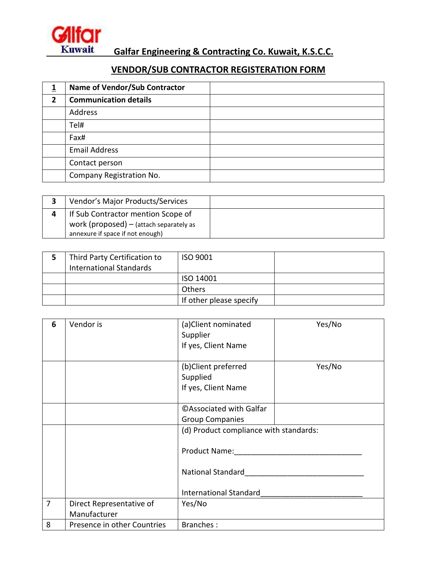

 **Galfar Engineering & Contracting Co. Kuwait, K.S.C.C.**

## **VENDOR/SUB CONTRACTOR REGISTERATION FORM**

|              | Name of Vendor/Sub Contractor |  |
|--------------|-------------------------------|--|
| $\mathbf{2}$ | <b>Communication details</b>  |  |
|              | Address                       |  |
|              | Tel#                          |  |
|              | Fax#                          |  |
|              | <b>Email Address</b>          |  |
|              | Contact person                |  |
|              | Company Registration No.      |  |

| Vendor's Major Products/Services          |  |
|-------------------------------------------|--|
| If Sub Contractor mention Scope of        |  |
| work (proposed) $-$ (attach separately as |  |
| annexure if space if not enough)          |  |

| Third Party Certification to<br><b>International Standards</b> | ISO 9001                |  |
|----------------------------------------------------------------|-------------------------|--|
|                                                                | ISO 14001               |  |
|                                                                | <b>Others</b>           |  |
|                                                                | If other please specify |  |

| 6 | Vendor is                                | (a)Client nominated<br>Supplier<br>If yes, Client Name                                                        | Yes/No |
|---|------------------------------------------|---------------------------------------------------------------------------------------------------------------|--------|
|   |                                          | (b)Client preferred<br>Supplied<br>If yes, Client Name                                                        | Yes/No |
|   |                                          | <b>CAssociated with Galfar</b><br><b>Group Companies</b>                                                      |        |
|   |                                          | (d) Product compliance with standards:<br>Product Name:<br>National Standard<br><b>International Standard</b> |        |
| 7 | Direct Representative of<br>Manufacturer | Yes/No                                                                                                        |        |
| 8 | Presence in other Countries              | Branches:                                                                                                     |        |